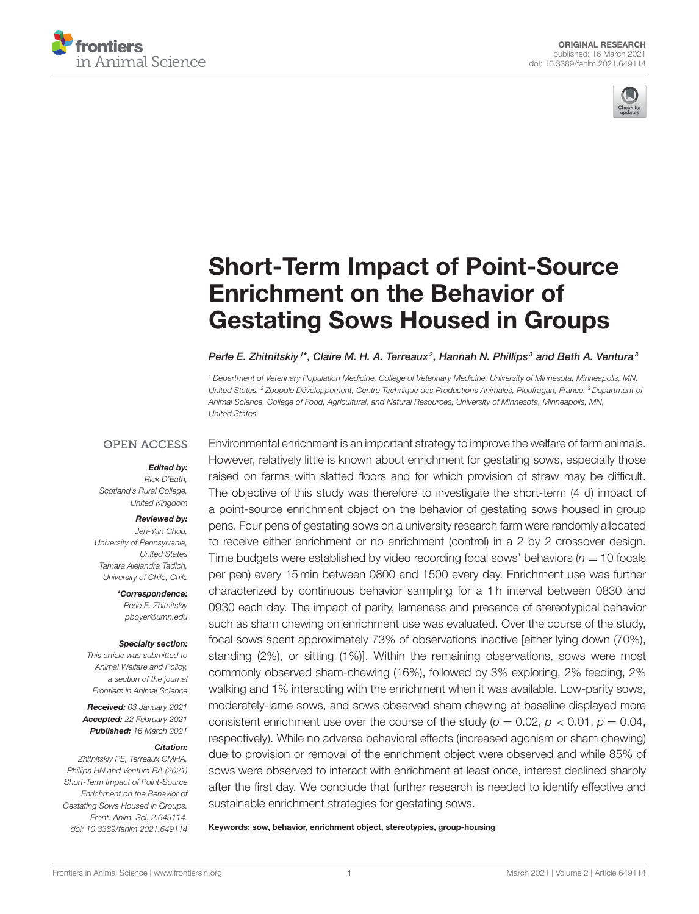



# [Short-Term Impact of Point-Source](https://www.frontiersin.org/articles/10.3389/fanim.2021.649114/full) Enrichment on the Behavior of Gestating Sows Housed in Groups

#### Perle E. Zhitnitskiy  $^{\text{1}*}$ , Claire M. H. A. Terreaux $^2$ , Hannah N. Phillips $^{\text{3}}$  and Beth A. Ventura $^{\text{3}}$

<sup>1</sup> Department of Veterinary Population Medicine, College of Veterinary Medicine, University of Minnesota, Minneapolis, MN, United States, <sup>2</sup> Zoopole Développement, Centre Technique des Productions Animales, Ploufragan, France, <sup>3</sup> Department of Animal Science, College of Food, Agricultural, and Natural Resources, University of Minnesota, Minneapolis, MN, United States

#### **OPEN ACCESS**

#### Edited by:

Rick D'Eath, Scotland's Rural College, United Kingdom

#### Reviewed by:

Jen-Yun Chou, University of Pennsylvania, United States Tamara Alejandra Tadich, University of Chile, Chile

> \*Correspondence: Perle E. Zhitnitskiy [pboyer@umn.edu](mailto:pboyer@umn.edu)

#### Specialty section:

This article was submitted to Animal Welfare and Policy, a section of the journal Frontiers in Animal Science

Received: 03 January 2021 Accepted: 22 February 2021 Published: 16 March 2021

#### Citation:

Zhitnitskiy PE, Terreaux CMHA, Phillips HN and Ventura BA (2021) Short-Term Impact of Point-Source Enrichment on the Behavior of Gestating Sows Housed in Groups. Front. Anim. Sci. 2:649114. doi: [10.3389/fanim.2021.649114](https://doi.org/10.3389/fanim.2021.649114)

Environmental enrichment is an important strategy to improve the welfare of farm animals. However, relatively little is known about enrichment for gestating sows, especially those raised on farms with slatted floors and for which provision of straw may be difficult. The objective of this study was therefore to investigate the short-term (4 d) impact of a point-source enrichment object on the behavior of gestating sows housed in group pens. Four pens of gestating sows on a university research farm were randomly allocated to receive either enrichment or no enrichment (control) in a 2 by 2 crossover design. Time budgets were established by video recording focal sows' behaviors ( $n = 10$  focals per pen) every 15 min between 0800 and 1500 every day. Enrichment use was further characterized by continuous behavior sampling for a 1 h interval between 0830 and 0930 each day. The impact of parity, lameness and presence of stereotypical behavior such as sham chewing on enrichment use was evaluated. Over the course of the study, focal sows spent approximately 73% of observations inactive [either lying down (70%), standing (2%), or sitting (1%)]. Within the remaining observations, sows were most commonly observed sham-chewing (16%), followed by 3% exploring, 2% feeding, 2% walking and 1% interacting with the enrichment when it was available. Low-parity sows, moderately-lame sows, and sows observed sham chewing at baseline displayed more consistent enrichment use over the course of the study ( $p = 0.02$ ,  $p < 0.01$ ,  $p = 0.04$ , respectively). While no adverse behavioral effects (increased agonism or sham chewing) due to provision or removal of the enrichment object were observed and while 85% of sows were observed to interact with enrichment at least once, interest declined sharply after the first day. We conclude that further research is needed to identify effective and sustainable enrichment strategies for gestating sows.

Keywords: sow, behavior, enrichment object, stereotypies, group-housing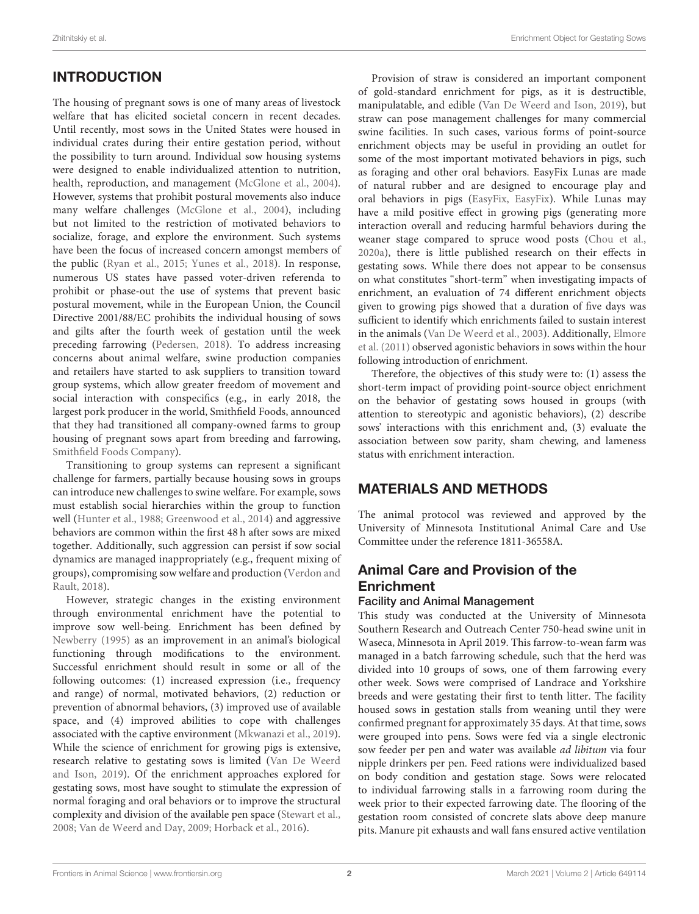# INTRODUCTION

The housing of pregnant sows is one of many areas of livestock welfare that has elicited societal concern in recent decades. Until recently, most sows in the United States were housed in individual crates during their entire gestation period, without the possibility to turn around. Individual sow housing systems were designed to enable individualized attention to nutrition, health, reproduction, and management [\(McGlone et al., 2004\)](#page-9-0). However, systems that prohibit postural movements also induce many welfare challenges [\(McGlone et al., 2004\)](#page-9-0), including but not limited to the restriction of motivated behaviors to socialize, forage, and explore the environment. Such systems have been the focus of increased concern amongst members of the public [\(Ryan et al., 2015;](#page-9-1) [Yunes et al., 2018\)](#page-10-0). In response, numerous US states have passed voter-driven referenda to prohibit or phase-out the use of systems that prevent basic postural movement, while in the European Union, the Council Directive 2001/88/EC prohibits the individual housing of sows and gilts after the fourth week of gestation until the week preceding farrowing [\(Pedersen, 2018\)](#page-9-2). To address increasing concerns about animal welfare, swine production companies and retailers have started to ask suppliers to transition toward group systems, which allow greater freedom of movement and social interaction with conspecifics (e.g., in early 2018, the largest pork producer in the world, Smithfield Foods, announced that they had transitioned all company-owned farms to group housing of pregnant sows apart from breeding and farrowing, [Smithfield Foods Company\)](#page-9-3).

Transitioning to group systems can represent a significant challenge for farmers, partially because housing sows in groups can introduce new challenges to swine welfare. For example, sows must establish social hierarchies within the group to function well [\(Hunter et al., 1988;](#page-9-4) [Greenwood et al., 2014\)](#page-9-5) and aggressive behaviors are common within the first 48 h after sows are mixed together. Additionally, such aggression can persist if sow social dynamics are managed inappropriately (e.g., frequent mixing of groups), compromising sow welfare and production (Verdon and Rault, [2018\)](#page-9-6).

However, strategic changes in the existing environment through environmental enrichment have the potential to improve sow well-being. Enrichment has been defined by [Newberry \(1995\)](#page-9-7) as an improvement in an animal's biological functioning through modifications to the environment. Successful enrichment should result in some or all of the following outcomes: (1) increased expression (i.e., frequency and range) of normal, motivated behaviors, (2) reduction or prevention of abnormal behaviors, (3) improved use of available space, and (4) improved abilities to cope with challenges associated with the captive environment [\(Mkwanazi et al., 2019\)](#page-9-8). While the science of enrichment for growing pigs is extensive, research relative to gestating sows is limited (Van De Weerd and Ison, [2019\)](#page-9-9). Of the enrichment approaches explored for gestating sows, most have sought to stimulate the expression of normal foraging and oral behaviors or to improve the structural complexity and division of the available pen space [\(Stewart et al.,](#page-9-10) [2008;](#page-9-10) [Van de Weerd and Day, 2009;](#page-9-11) [Horback et al., 2016\)](#page-9-12).

Provision of straw is considered an important component of gold-standard enrichment for pigs, as it is destructible, manipulatable, and edible [\(Van De Weerd and Ison, 2019\)](#page-9-9), but straw can pose management challenges for many commercial swine facilities. In such cases, various forms of point-source enrichment objects may be useful in providing an outlet for some of the most important motivated behaviors in pigs, such as foraging and other oral behaviors. EasyFix Lunas are made of natural rubber and are designed to encourage play and oral behaviors in pigs [\(EasyFix, EasyFix\)](#page-9-13). While Lunas may have a mild positive effect in growing pigs (generating more interaction overall and reducing harmful behaviors during the weaner stage compared to spruce wood posts [\(Chou et al.,](#page-9-14) [2020a\)](#page-9-14), there is little published research on their effects in gestating sows. While there does not appear to be consensus on what constitutes "short-term" when investigating impacts of enrichment, an evaluation of 74 different enrichment objects given to growing pigs showed that a duration of five days was sufficient to identify which enrichments failed to sustain interest in the animals [\(Van De Weerd et al., 2003\)](#page-9-15). Additionally, Elmore et al. [\(2011\)](#page-9-16) observed agonistic behaviors in sows within the hour following introduction of enrichment.

Therefore, the objectives of this study were to: (1) assess the short-term impact of providing point-source object enrichment on the behavior of gestating sows housed in groups (with attention to stereotypic and agonistic behaviors), (2) describe sows' interactions with this enrichment and, (3) evaluate the association between sow parity, sham chewing, and lameness status with enrichment interaction.

# MATERIALS AND METHODS

The animal protocol was reviewed and approved by the University of Minnesota Institutional Animal Care and Use Committee under the reference 1811-36558A.

# Animal Care and Provision of the Enrichment

### Facility and Animal Management

This study was conducted at the University of Minnesota Southern Research and Outreach Center 750-head swine unit in Waseca, Minnesota in April 2019. This farrow-to-wean farm was managed in a batch farrowing schedule, such that the herd was divided into 10 groups of sows, one of them farrowing every other week. Sows were comprised of Landrace and Yorkshire breeds and were gestating their first to tenth litter. The facility housed sows in gestation stalls from weaning until they were confirmed pregnant for approximately 35 days. At that time, sows were grouped into pens. Sows were fed via a single electronic sow feeder per pen and water was available ad libitum via four nipple drinkers per pen. Feed rations were individualized based on body condition and gestation stage. Sows were relocated to individual farrowing stalls in a farrowing room during the week prior to their expected farrowing date. The flooring of the gestation room consisted of concrete slats above deep manure pits. Manure pit exhausts and wall fans ensured active ventilation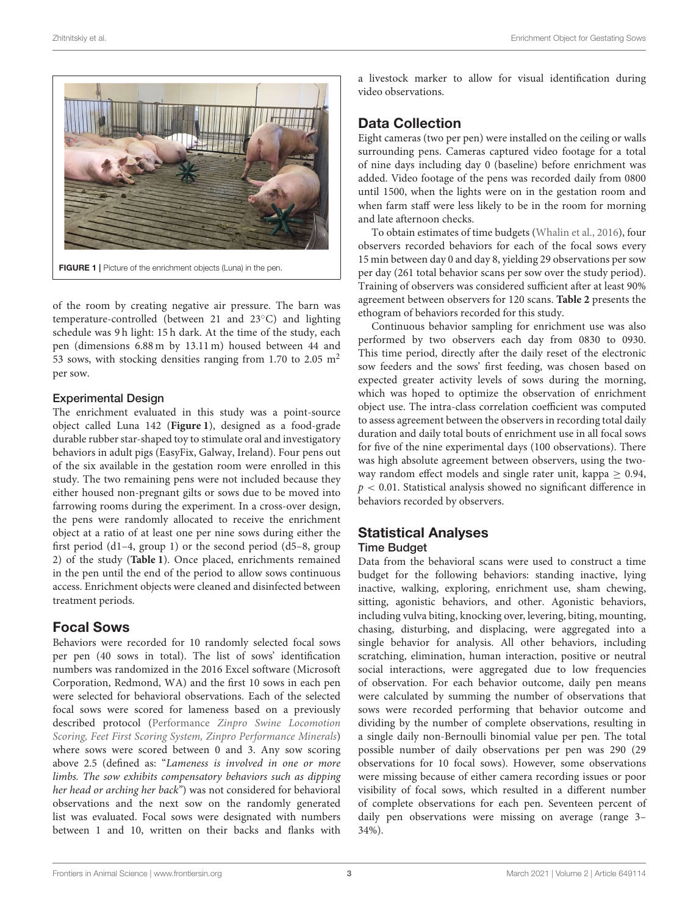

FIGURE 1 | Picture of the enrichment objects (Luna) in the pen.

<span id="page-2-0"></span>of the room by creating negative air pressure. The barn was temperature-controlled (between 21 and 23◦C) and lighting schedule was 9 h light: 15 h dark. At the time of the study, each pen (dimensions 6.88 m by 13.11 m) housed between 44 and 53 sows, with stocking densities ranging from 1.70 to 2.05 m<sup>2</sup> per sow.

#### Experimental Design

The enrichment evaluated in this study was a point-source object called Luna 142 (**[Figure 1](#page-2-0)**), designed as a food-grade durable rubber star-shaped toy to stimulate oral and investigatory behaviors in adult pigs (EasyFix, Galway, Ireland). Four pens out of the six available in the gestation room were enrolled in this study. The two remaining pens were not included because they either housed non-pregnant gilts or sows due to be moved into farrowing rooms during the experiment. In a cross-over design, the pens were randomly allocated to receive the enrichment object at a ratio of at least one per nine sows during either the first period (d1–4, group 1) or the second period (d5–8, group 2) of the study (**[Table 1](#page-3-0)**). Once placed, enrichments remained in the pen until the end of the period to allow sows continuous access. Enrichment objects were cleaned and disinfected between treatment periods.

### Focal Sows

Behaviors were recorded for 10 randomly selected focal sows per pen (40 sows in total). The list of sows' identification numbers was randomized in the 2016 Excel software (Microsoft Corporation, Redmond, WA) and the first 10 sows in each pen were selected for behavioral observations. Each of the selected focal sows were scored for lameness based on a previously described protocol (Performance Zinpro Swine Locomotion [Scoring, Feet First Scoring System, Zinpro Performance Minerals](#page-9-17)) where sows were scored between 0 and 3. Any sow scoring above 2.5 (defined as: "Lameness is involved in one or more limbs. The sow exhibits compensatory behaviors such as dipping her head or arching her back") was not considered for behavioral observations and the next sow on the randomly generated list was evaluated. Focal sows were designated with numbers between 1 and 10, written on their backs and flanks with a livestock marker to allow for visual identification during video observations.

# Data Collection

Eight cameras (two per pen) were installed on the ceiling or walls surrounding pens. Cameras captured video footage for a total of nine days including day 0 (baseline) before enrichment was added. Video footage of the pens was recorded daily from 0800 until 1500, when the lights were on in the gestation room and when farm staff were less likely to be in the room for morning and late afternoon checks.

To obtain estimates of time budgets [\(Whalin et al., 2016\)](#page-10-1), four observers recorded behaviors for each of the focal sows every 15 min between day 0 and day 8, yielding 29 observations per sow per day (261 total behavior scans per sow over the study period). Training of observers was considered sufficient after at least 90% agreement between observers for 120 scans. **[Table 2](#page-3-1)** presents the ethogram of behaviors recorded for this study.

Continuous behavior sampling for enrichment use was also performed by two observers each day from 0830 to 0930. This time period, directly after the daily reset of the electronic sow feeders and the sows' first feeding, was chosen based on expected greater activity levels of sows during the morning, which was hoped to optimize the observation of enrichment object use. The intra-class correlation coefficient was computed to assess agreement between the observers in recording total daily duration and daily total bouts of enrichment use in all focal sows for five of the nine experimental days (100 observations). There was high absolute agreement between observers, using the twoway random effect models and single rater unit, kappa > 0.94,  $p < 0.01$ . Statistical analysis showed no significant difference in behaviors recorded by observers.

# Statistical Analyses

#### Time Budget

Data from the behavioral scans were used to construct a time budget for the following behaviors: standing inactive, lying inactive, walking, exploring, enrichment use, sham chewing, sitting, agonistic behaviors, and other. Agonistic behaviors, including vulva biting, knocking over, levering, biting, mounting, chasing, disturbing, and displacing, were aggregated into a single behavior for analysis. All other behaviors, including scratching, elimination, human interaction, positive or neutral social interactions, were aggregated due to low frequencies of observation. For each behavior outcome, daily pen means were calculated by summing the number of observations that sows were recorded performing that behavior outcome and dividing by the number of complete observations, resulting in a single daily non-Bernoulli binomial value per pen. The total possible number of daily observations per pen was 290 (29 observations for 10 focal sows). However, some observations were missing because of either camera recording issues or poor visibility of focal sows, which resulted in a different number of complete observations for each pen. Seventeen percent of daily pen observations were missing on average (range 3– 34%).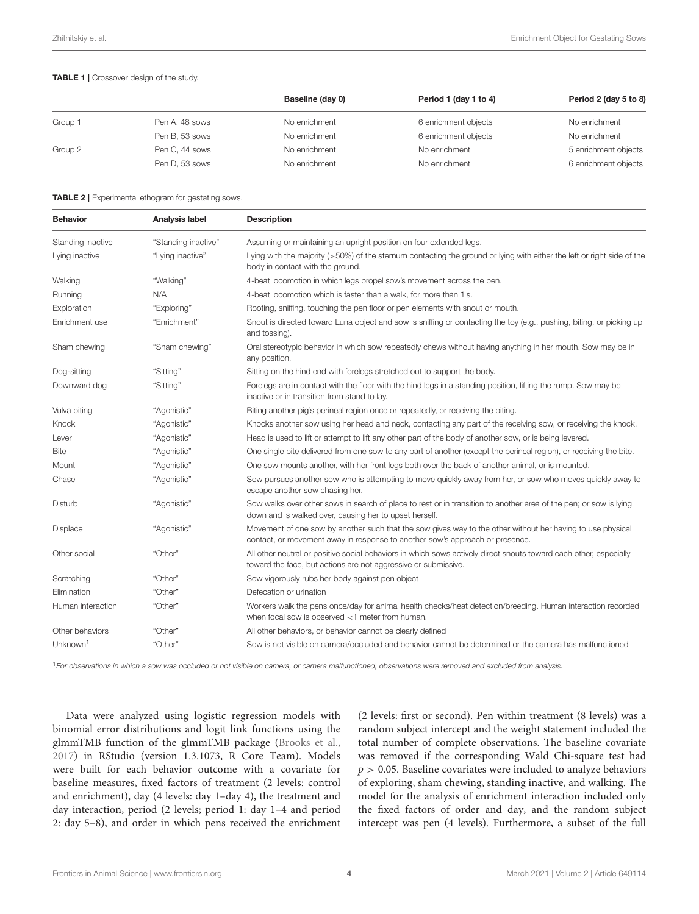#### <span id="page-3-0"></span>TABLE 1 | Crossover design of the study.

|         |                | Baseline (day 0) | Period 1 (day 1 to 4) | Period 2 (day 5 to 8) |
|---------|----------------|------------------|-----------------------|-----------------------|
| Group 1 | Pen A, 48 sows | No enrichment    | 6 enrichment objects  | No enrichment         |
|         | Pen B, 53 sows | No enrichment    | 6 enrichment objects  | No enrichment         |
| Group 2 | Pen C, 44 sows | No enrichment    | No enrichment         | 5 enrichment objects  |
|         | Pen D, 53 sows | No enrichment    | No enrichment         | 6 enrichment objects  |

<span id="page-3-1"></span>TABLE 2 | Experimental ethogram for gestating sows.

| <b>Behavior</b>      | Analysis label      | <b>Description</b>                                                                                                                                                                         |  |
|----------------------|---------------------|--------------------------------------------------------------------------------------------------------------------------------------------------------------------------------------------|--|
| Standing inactive    | "Standing inactive" | Assuming or maintaining an upright position on four extended legs.                                                                                                                         |  |
| Lying inactive       | "Lying inactive"    | Lying with the majority (>50%) of the sternum contacting the ground or lying with either the left or right side of the<br>body in contact with the ground.                                 |  |
| Walking              | "Walking"           | 4-beat locomotion in which legs propel sow's movement across the pen.                                                                                                                      |  |
| Running              | N/A                 | 4-beat locomotion which is faster than a walk, for more than 1 s.                                                                                                                          |  |
| Exploration          | "Exploring"         | Rooting, sniffing, touching the pen floor or pen elements with snout or mouth.                                                                                                             |  |
| Enrichment use       | "Enrichment"        | Snout is directed toward Luna object and sow is sniffing or contacting the toy (e.g., pushing, biting, or picking up<br>and tossing).                                                      |  |
| Sham chewing         | "Sham chewing"      | Oral stereotypic behavior in which sow repeatedly chews without having anything in her mouth. Sow may be in<br>any position.                                                               |  |
| Dog-sitting          | "Sitting"           | Sitting on the hind end with forelegs stretched out to support the body.                                                                                                                   |  |
| Downward dog         | "Sitting"           | Forelegs are in contact with the floor with the hind legs in a standing position, lifting the rump. Sow may be<br>inactive or in transition from stand to lay.                             |  |
| Vulva biting         | "Agonistic"         | Biting another pig's perineal region once or repeatedly, or receiving the biting.                                                                                                          |  |
| Knock                | "Agonistic"         | Knocks another sow using her head and neck, contacting any part of the receiving sow, or receiving the knock.                                                                              |  |
| Lever                | "Agonistic"         | Head is used to lift or attempt to lift any other part of the body of another sow, or is being levered.                                                                                    |  |
| <b>Bite</b>          | "Agonistic"         | One single bite delivered from one sow to any part of another (except the perineal region), or receiving the bite.                                                                         |  |
| Mount                | "Agonistic"         | One sow mounts another, with her front legs both over the back of another animal, or is mounted.                                                                                           |  |
| Chase                | "Agonistic"         | Sow pursues another sow who is attempting to move quickly away from her, or sow who moves quickly away to<br>escape another sow chasing her.                                               |  |
| Disturb              | "Agonistic"         | Sow walks over other sows in search of place to rest or in transition to another area of the pen; or sow is lying<br>down and is walked over, causing her to upset herself.                |  |
| <b>Displace</b>      | "Agonistic"         | Movement of one sow by another such that the sow gives way to the other without her having to use physical<br>contact, or movement away in response to another sow's approach or presence. |  |
| Other social         | "Other"             | All other neutral or positive social behaviors in which sows actively direct snouts toward each other, especially<br>toward the face, but actions are not aggressive or submissive.        |  |
| Scratching           | "Other"             | Sow vigorously rubs her body against pen object                                                                                                                                            |  |
| Elimination          | "Other"             | Defecation or urination                                                                                                                                                                    |  |
| Human interaction    | "Other"             | Workers walk the pens once/day for animal health checks/heat detection/breeding. Human interaction recorded<br>when focal sow is observed <1 meter from human.                             |  |
| Other behaviors      | "Other"             | All other behaviors, or behavior cannot be clearly defined                                                                                                                                 |  |
| Unknown <sup>1</sup> | "Other"             | Sow is not visible on camera/occluded and behavior cannot be determined or the camera has malfunctioned                                                                                    |  |

<sup>1</sup>For observations in which a sow was occluded or not visible on camera, or camera malfunctioned, observations were removed and excluded from analysis.

Data were analyzed using logistic regression models with binomial error distributions and logit link functions using the glmmTMB function of the glmmTMB package [\(Brooks et al.,](#page-9-18) [2017\)](#page-9-18) in RStudio (version 1.3.1073, R Core Team). Models were built for each behavior outcome with a covariate for baseline measures, fixed factors of treatment (2 levels: control and enrichment), day (4 levels: day 1–day 4), the treatment and day interaction, period (2 levels; period 1: day 1–4 and period 2: day 5–8), and order in which pens received the enrichment

(2 levels: first or second). Pen within treatment (8 levels) was a random subject intercept and the weight statement included the total number of complete observations. The baseline covariate was removed if the corresponding Wald Chi-square test had  $p > 0.05$ . Baseline covariates were included to analyze behaviors of exploring, sham chewing, standing inactive, and walking. The model for the analysis of enrichment interaction included only the fixed factors of order and day, and the random subject intercept was pen (4 levels). Furthermore, a subset of the full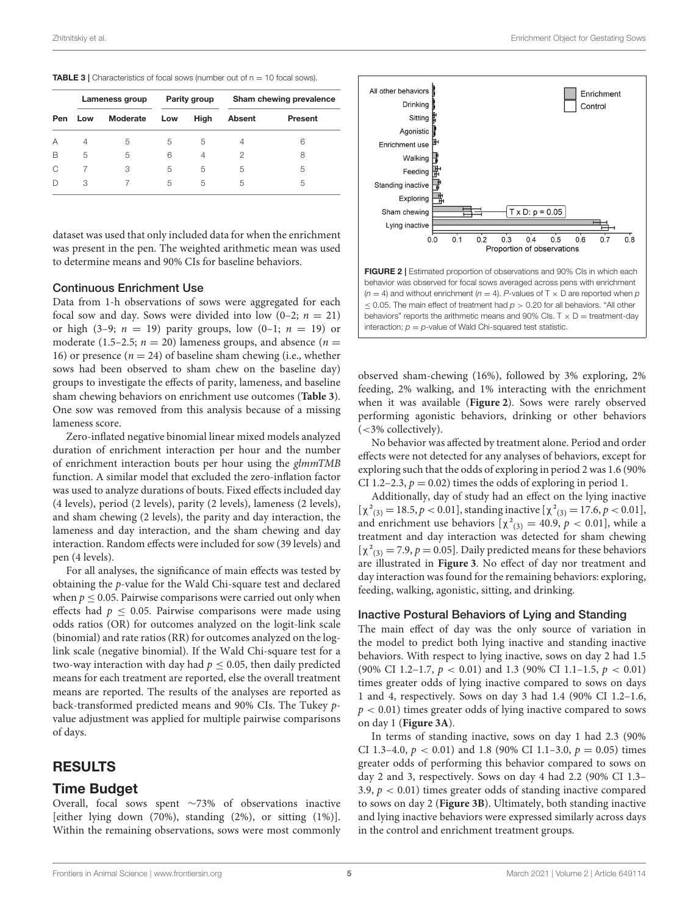<span id="page-4-0"></span>

| Pen | Lameness group |          | Parity group |      | Sham chewing prevalence |         |  |
|-----|----------------|----------|--------------|------|-------------------------|---------|--|
|     | Low            | Moderate | Low          | High | <b>Absent</b>           | Present |  |
| А   | 4              | 5        | 5            | 5    | 4                       | 6       |  |
| B   | 5              | 5        | 6            | 4    | 2                       | 8       |  |
| C   |                | 3        | 5            | 5    | 5                       | 5       |  |
|     | З              |          | 5            | 5    | 5                       | 5       |  |

dataset was used that only included data for when the enrichment was present in the pen. The weighted arithmetic mean was used to determine means and 90% CIs for baseline behaviors.

#### Continuous Enrichment Use

Data from 1-h observations of sows were aggregated for each focal sow and day. Sows were divided into low  $(0-2; n = 21)$ or high (3–9;  $n = 19$ ) parity groups, low (0–1;  $n = 19$ ) or moderate (1.5–2.5;  $n = 20$ ) lameness groups, and absence ( $n =$ 16) or presence ( $n = 24$ ) of baseline sham chewing (i.e., whether sows had been observed to sham chew on the baseline day) groups to investigate the effects of parity, lameness, and baseline sham chewing behaviors on enrichment use outcomes (**[Table 3](#page-4-0)**). One sow was removed from this analysis because of a missing lameness score.

Zero-inflated negative binomial linear mixed models analyzed duration of enrichment interaction per hour and the number of enrichment interaction bouts per hour using the glmmTMB function. A similar model that excluded the zero-inflation factor was used to analyze durations of bouts. Fixed effects included day (4 levels), period (2 levels), parity (2 levels), lameness (2 levels), and sham chewing (2 levels), the parity and day interaction, the lameness and day interaction, and the sham chewing and day interaction. Random effects were included for sow (39 levels) and pen (4 levels).

For all analyses, the significance of main effects was tested by obtaining the p-value for the Wald Chi-square test and declared when  $p \leq 0.05$ . Pairwise comparisons were carried out only when effects had  $p \leq 0.05$ . Pairwise comparisons were made using odds ratios (OR) for outcomes analyzed on the logit-link scale (binomial) and rate ratios (RR) for outcomes analyzed on the loglink scale (negative binomial). If the Wald Chi-square test for a two-way interaction with day had  $p \leq 0.05$ , then daily predicted means for each treatment are reported, else the overall treatment means are reported. The results of the analyses are reported as back-transformed predicted means and 90% CIs. The Tukey pvalue adjustment was applied for multiple pairwise comparisons of days.

# RESULTS

### Time Budget

Overall, focal sows spent ∼73% of observations inactive [either lying down (70%), standing (2%), or sitting (1%)]. Within the remaining observations, sows were most commonly



<span id="page-4-1"></span>observed sham-chewing (16%), followed by 3% exploring, 2% feeding, 2% walking, and 1% interacting with the enrichment when it was available (**[Figure 2](#page-4-1)**). Sows were rarely observed performing agonistic behaviors, drinking or other behaviors  $\langle$  <3% collectively).

No behavior was affected by treatment alone. Period and order effects were not detected for any analyses of behaviors, except for exploring such that the odds of exploring in period 2 was 1.6 (90% CI 1.2–2.3,  $p = 0.02$ ) times the odds of exploring in period 1.

Additionally, day of study had an effect on the lying inactive  $[\chi^2_{(3)} = 18.5, p < 0.01]$ , standing inactive  $[\chi^2_{(3)} = 17.6, p < 0.01]$ , and enrichment use behaviors  $[\chi^2_{(3)} = 40.9, p < 0.01]$ , while a treatment and day interaction was detected for sham chewing  $[\chi^2_{(3)} = 7.9, p = 0.05]$ . Daily predicted means for these behaviors are illustrated in **[Figure 3](#page-5-0)**. No effect of day nor treatment and day interaction was found for the remaining behaviors: exploring, feeding, walking, agonistic, sitting, and drinking.

#### Inactive Postural Behaviors of Lying and Standing

The main effect of day was the only source of variation in the model to predict both lying inactive and standing inactive behaviors. With respect to lying inactive, sows on day 2 had 1.5 (90% CI 1.2–1.7,  $p < 0.01$ ) and 1.3 (90% CI 1.1–1.5,  $p < 0.01$ ) times greater odds of lying inactive compared to sows on days 1 and 4, respectively. Sows on day 3 had 1.4 (90% CI 1.2–1.6,  $p < 0.01$ ) times greater odds of lying inactive compared to sows on day 1 (**[Figure 3A](#page-5-0)**).

In terms of standing inactive, sows on day 1 had 2.3 (90% CI 1.3–4.0,  $p < 0.01$ ) and 1.8 (90% CI 1.1–3.0,  $p = 0.05$ ) times greater odds of performing this behavior compared to sows on day 2 and 3, respectively. Sows on day 4 had 2.2 (90% CI 1.3– 3.9,  $p < 0.01$ ) times greater odds of standing inactive compared to sows on day 2 (**[Figure 3B](#page-5-0)**). Ultimately, both standing inactive and lying inactive behaviors were expressed similarly across days in the control and enrichment treatment groups.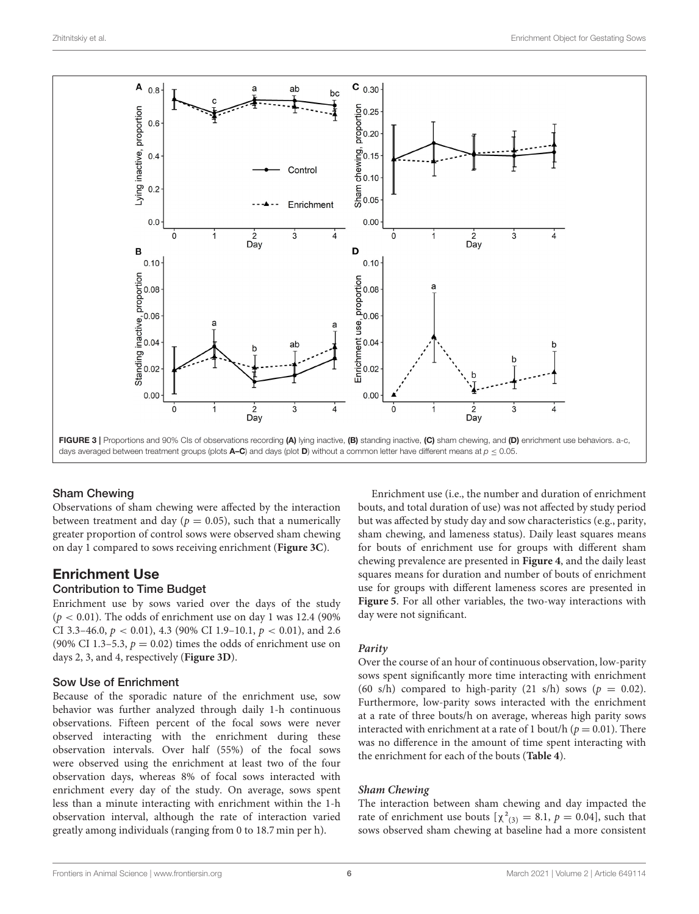

### <span id="page-5-0"></span>Sham Chewing

Observations of sham chewing were affected by the interaction between treatment and day ( $p = 0.05$ ), such that a numerically greater proportion of control sows were observed sham chewing on day 1 compared to sows receiving enrichment (**[Figure 3C](#page-5-0)**).

# Enrichment Use

### Contribution to Time Budget

Enrichment use by sows varied over the days of the study  $(p < 0.01)$ . The odds of enrichment use on day 1 was 12.4 (90%) CI 3.3–46.0,  $p < 0.01$ ), 4.3 (90% CI 1.9–10.1,  $p < 0.01$ ), and 2.6 (90% CI 1.3–5.3,  $p = 0.02$ ) times the odds of enrichment use on days 2, 3, and 4, respectively (**[Figure 3D](#page-5-0)**).

### Sow Use of Enrichment

Because of the sporadic nature of the enrichment use, sow behavior was further analyzed through daily 1-h continuous observations. Fifteen percent of the focal sows were never observed interacting with the enrichment during these observation intervals. Over half (55%) of the focal sows were observed using the enrichment at least two of the four observation days, whereas 8% of focal sows interacted with enrichment every day of the study. On average, sows spent less than a minute interacting with enrichment within the 1-h observation interval, although the rate of interaction varied greatly among individuals (ranging from 0 to 18.7 min per h).

Enrichment use (i.e., the number and duration of enrichment bouts, and total duration of use) was not affected by study period but was affected by study day and sow characteristics (e.g., parity, sham chewing, and lameness status). Daily least squares means for bouts of enrichment use for groups with different sham chewing prevalence are presented in **[Figure 4](#page-6-0)**, and the daily least squares means for duration and number of bouts of enrichment use for groups with different lameness scores are presented in **[Figure 5](#page-6-1)**. For all other variables, the two-way interactions with day were not significant.

#### **Parity**

Over the course of an hour of continuous observation, low-parity sows spent significantly more time interacting with enrichment (60 s/h) compared to high-parity (21 s/h) sows ( $p = 0.02$ ). Furthermore, low-parity sows interacted with the enrichment at a rate of three bouts/h on average, whereas high parity sows interacted with enrichment at a rate of 1 bout/h ( $p = 0.01$ ). There was no difference in the amount of time spent interacting with the enrichment for each of the bouts (**[Table 4](#page-7-0)**).

#### **Sham Chewing**

The interaction between sham chewing and day impacted the rate of enrichment use bouts  $[\chi^2_{(3)} = 8.1, p = 0.04]$ , such that sows observed sham chewing at baseline had a more consistent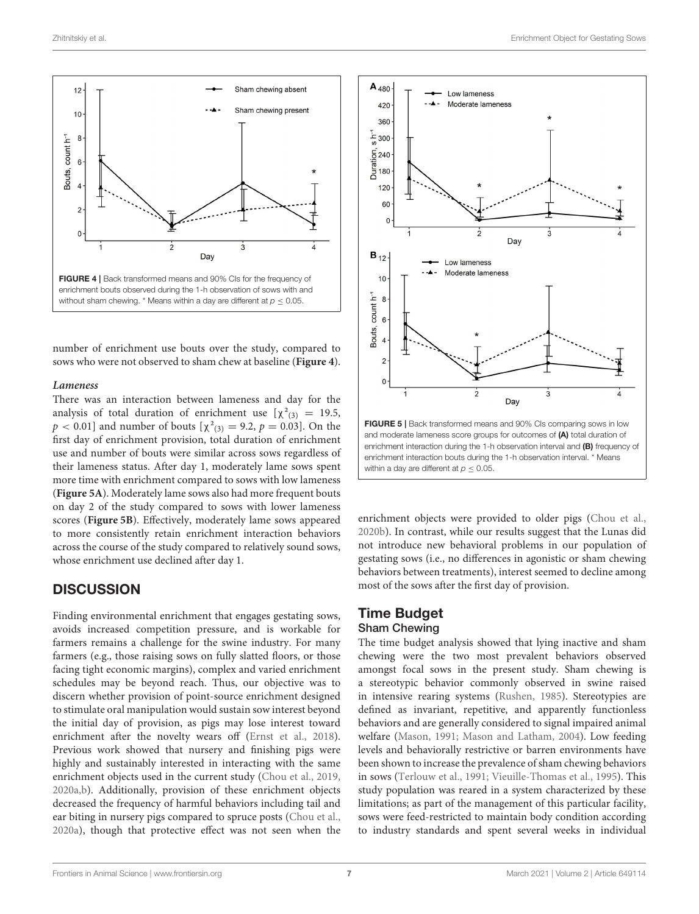

<span id="page-6-0"></span>number of enrichment use bouts over the study, compared to sows who were not observed to sham chew at baseline (**[Figure 4](#page-6-0)**).

#### **Lameness**

There was an interaction between lameness and day for the analysis of total duration of enrichment use  $[\chi^2_{(3)}] = 19.5$ ,  $p < 0.01$ ] and number of bouts  $[\chi^2_{(3)} = 9.2, p = 0.03]$ . On the first day of enrichment provision, total duration of enrichment use and number of bouts were similar across sows regardless of their lameness status. After day 1, moderately lame sows spent more time with enrichment compared to sows with low lameness (**[Figure 5A](#page-6-1)**). Moderately lame sows also had more frequent bouts on day 2 of the study compared to sows with lower lameness scores (**[Figure 5B](#page-6-1)**). Effectively, moderately lame sows appeared to more consistently retain enrichment interaction behaviors across the course of the study compared to relatively sound sows, whose enrichment use declined after day 1.

### **DISCUSSION**

Finding environmental enrichment that engages gestating sows, avoids increased competition pressure, and is workable for farmers remains a challenge for the swine industry. For many farmers (e.g., those raising sows on fully slatted floors, or those facing tight economic margins), complex and varied enrichment schedules may be beyond reach. Thus, our objective was to discern whether provision of point-source enrichment designed to stimulate oral manipulation would sustain sow interest beyond the initial day of provision, as pigs may lose interest toward enrichment after the novelty wears off [\(Ernst et al., 2018\)](#page-9-19). Previous work showed that nursery and finishing pigs were highly and sustainably interested in interacting with the same enrichment objects used in the current study [\(Chou et al., 2019,](#page-9-20) [2020a](#page-9-14)[,b\)](#page-9-21). Additionally, provision of these enrichment objects decreased the frequency of harmful behaviors including tail and ear biting in nursery pigs compared to spruce posts [\(Chou et al.,](#page-9-14) [2020a\)](#page-9-14), though that protective effect was not seen when the



<span id="page-6-1"></span>enrichment interaction bouts during the 1-h observation interval. \* Means within a day are different at  $p \le 0.05$ .

enrichment objects were provided to older pigs [\(Chou et al.,](#page-9-21) [2020b\)](#page-9-21). In contrast, while our results suggest that the Lunas did not introduce new behavioral problems in our population of gestating sows (i.e., no differences in agonistic or sham chewing behaviors between treatments), interest seemed to decline among most of the sows after the first day of provision.

#### Time Budget Sham Chewing

The time budget analysis showed that lying inactive and sham chewing were the two most prevalent behaviors observed amongst focal sows in the present study. Sham chewing is a stereotypic behavior commonly observed in swine raised in intensive rearing systems [\(Rushen, 1985\)](#page-9-22). Stereotypies are defined as invariant, repetitive, and apparently functionless behaviors and are generally considered to signal impaired animal welfare [\(Mason, 1991;](#page-9-23) [Mason and Latham, 2004\)](#page-9-24). Low feeding levels and behaviorally restrictive or barren environments have been shown to increase the prevalence of sham chewing behaviors in sows [\(Terlouw et al., 1991;](#page-9-25) [Vieuille-Thomas et al., 1995\)](#page-10-2). This study population was reared in a system characterized by these limitations; as part of the management of this particular facility, sows were feed-restricted to maintain body condition according to industry standards and spent several weeks in individual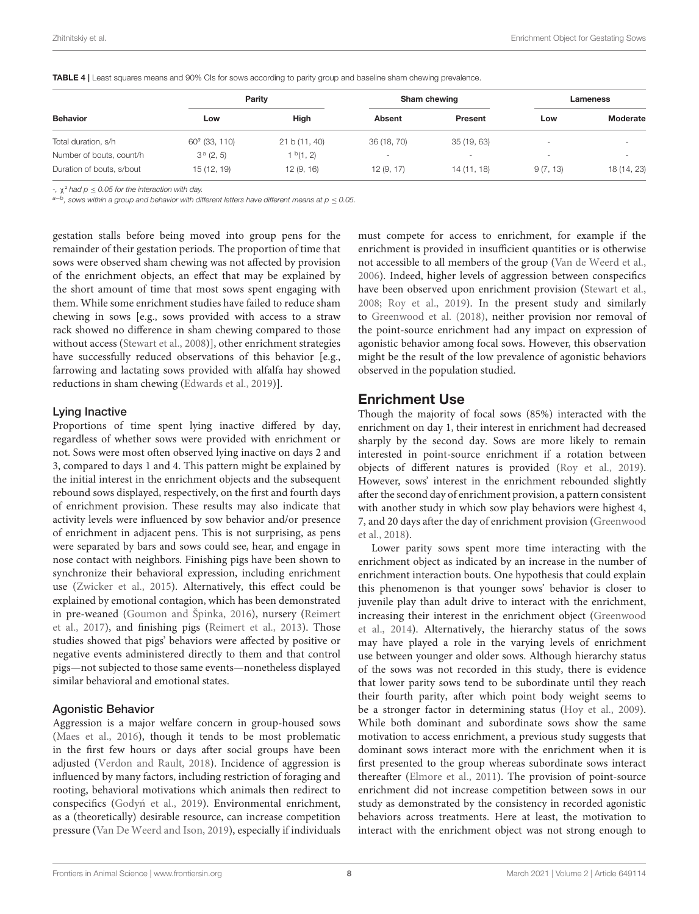|                           | Parity           |                       | Sham chewing             |                          | Lameness                 |             |
|---------------------------|------------------|-----------------------|--------------------------|--------------------------|--------------------------|-------------|
| <b>Behavior</b>           | Low              | High                  | <b>Absent</b>            | Present                  | Low                      | Moderate    |
| Total duration, s/h       | $60^a$ (33, 110) | 21 b (11, 40)         | 36 (18, 70)              | 35(19, 63)               | $\overline{\phantom{a}}$ | $\,$        |
| Number of bouts, count/h  | $3^a$ (2, 5)     | 1 <sup>b</sup> (1, 2) | $\overline{\phantom{a}}$ | $\overline{\phantom{a}}$ | $\overline{\phantom{a}}$ | $\,$        |
| Duration of bouts, s/bout | 15 (12, 19)      | 12(9, 16)             | 12(9, 17)                | 14 (11, 18)              | 9(7, 13)                 | 18 (14, 23) |

<span id="page-7-0"></span>TABLE 4 | Least squares means and 90% CIs for sows according to parity group and baseline sham chewing prevalence.

-,  $\chi^2$  had  $p \le 0.05$  for the interaction with day.

 $^{a-b}$ , sows within a group and behavior with different letters have different means at p  $\leq$  0.05.

gestation stalls before being moved into group pens for the remainder of their gestation periods. The proportion of time that sows were observed sham chewing was not affected by provision of the enrichment objects, an effect that may be explained by the short amount of time that most sows spent engaging with them. While some enrichment studies have failed to reduce sham chewing in sows [e.g., sows provided with access to a straw rack showed no difference in sham chewing compared to those without access [\(Stewart et al., 2008\)](#page-9-10)], other enrichment strategies have successfully reduced observations of this behavior [e.g., farrowing and lactating sows provided with alfalfa hay showed reductions in sham chewing [\(Edwards et al., 2019\)](#page-9-26)].

#### Lying Inactive

Proportions of time spent lying inactive differed by day, regardless of whether sows were provided with enrichment or not. Sows were most often observed lying inactive on days 2 and 3, compared to days 1 and 4. This pattern might be explained by the initial interest in the enrichment objects and the subsequent rebound sows displayed, respectively, on the first and fourth days of enrichment provision. These results may also indicate that activity levels were influenced by sow behavior and/or presence of enrichment in adjacent pens. This is not surprising, as pens were separated by bars and sows could see, hear, and engage in nose contact with neighbors. Finishing pigs have been shown to synchronize their behavioral expression, including enrichment use [\(Zwicker et al., 2015\)](#page-10-3). Alternatively, this effect could be explained by emotional contagion, which has been demonstrated in pre-weaned [\(Goumon and Špinka, 2016\)](#page-9-27), nursery (Reimert et al., [2017\)](#page-9-28), and finishing pigs [\(Reimert et al., 2013\)](#page-9-29). Those studies showed that pigs' behaviors were affected by positive or negative events administered directly to them and that control pigs—not subjected to those same events—nonetheless displayed similar behavioral and emotional states.

### Agonistic Behavior

Aggression is a major welfare concern in group-housed sows [\(Maes et al., 2016\)](#page-9-30), though it tends to be most problematic in the first few hours or days after social groups have been adjusted [\(Verdon and Rault, 2018\)](#page-9-6). Incidence of aggression is influenced by many factors, including restriction of foraging and rooting, behavioral motivations which animals then redirect to conspecifics (Godyń et al., 2019). Environmental enrichment, as a (theoretically) desirable resource, can increase competition pressure [\(Van De Weerd and Ison, 2019\)](#page-9-9), especially if individuals must compete for access to enrichment, for example if the enrichment is provided in insufficient quantities or is otherwise not accessible to all members of the group [\(Van de Weerd et al.,](#page-9-32) [2006\)](#page-9-32). Indeed, higher levels of aggression between conspecifics have been observed upon enrichment provision [\(Stewart et al.,](#page-9-10) [2008;](#page-9-10) [Roy et al., 2019\)](#page-9-33). In the present study and similarly to [Greenwood et al. \(2018\)](#page-9-34), neither provision nor removal of the point-source enrichment had any impact on expression of agonistic behavior among focal sows. However, this observation might be the result of the low prevalence of agonistic behaviors observed in the population studied.

# Enrichment Use

Though the majority of focal sows (85%) interacted with the enrichment on day 1, their interest in enrichment had decreased sharply by the second day. Sows are more likely to remain interested in point-source enrichment if a rotation between objects of different natures is provided [\(Roy et al., 2019\)](#page-9-33). However, sows' interest in the enrichment rebounded slightly after the second day of enrichment provision, a pattern consistent with another study in which sow play behaviors were highest 4, 7, and 20 days after the day of enrichment provision (Greenwood et al., [2018\)](#page-9-34).

Lower parity sows spent more time interacting with the enrichment object as indicated by an increase in the number of enrichment interaction bouts. One hypothesis that could explain this phenomenon is that younger sows' behavior is closer to juvenile play than adult drive to interact with the enrichment, increasing their interest in the enrichment object (Greenwood et al., [2014\)](#page-9-5). Alternatively, the hierarchy status of the sows may have played a role in the varying levels of enrichment use between younger and older sows. Although hierarchy status of the sows was not recorded in this study, there is evidence that lower parity sows tend to be subordinate until they reach their fourth parity, after which point body weight seems to be a stronger factor in determining status [\(Hoy et al., 2009\)](#page-9-35). While both dominant and subordinate sows show the same motivation to access enrichment, a previous study suggests that dominant sows interact more with the enrichment when it is first presented to the group whereas subordinate sows interact thereafter [\(Elmore et al., 2011\)](#page-9-16). The provision of point-source enrichment did not increase competition between sows in our study as demonstrated by the consistency in recorded agonistic behaviors across treatments. Here at least, the motivation to interact with the enrichment object was not strong enough to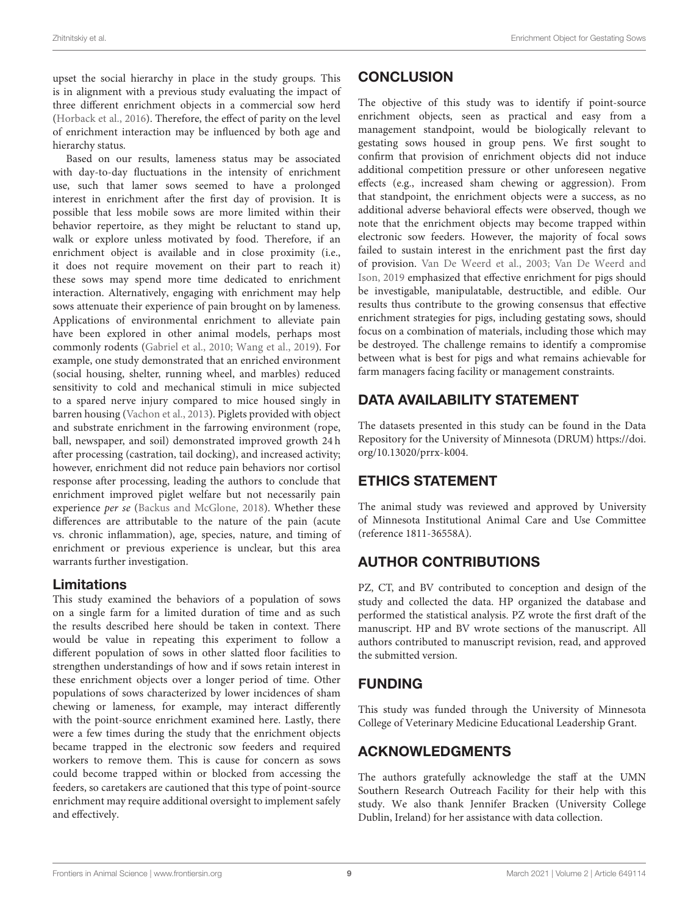upset the social hierarchy in place in the study groups. This is in alignment with a previous study evaluating the impact of three different enrichment objects in a commercial sow herd [\(Horback et al., 2016\)](#page-9-12). Therefore, the effect of parity on the level of enrichment interaction may be influenced by both age and hierarchy status.

Based on our results, lameness status may be associated with day-to-day fluctuations in the intensity of enrichment use, such that lamer sows seemed to have a prolonged interest in enrichment after the first day of provision. It is possible that less mobile sows are more limited within their behavior repertoire, as they might be reluctant to stand up, walk or explore unless motivated by food. Therefore, if an enrichment object is available and in close proximity (i.e., it does not require movement on their part to reach it) these sows may spend more time dedicated to enrichment interaction. Alternatively, engaging with enrichment may help sows attenuate their experience of pain brought on by lameness. Applications of environmental enrichment to alleviate pain have been explored in other animal models, perhaps most commonly rodents [\(Gabriel et al., 2010;](#page-9-36) [Wang et al., 2019\)](#page-10-4). For example, one study demonstrated that an enriched environment (social housing, shelter, running wheel, and marbles) reduced sensitivity to cold and mechanical stimuli in mice subjected to a spared nerve injury compared to mice housed singly in barren housing [\(Vachon et al., 2013\)](#page-9-37). Piglets provided with object and substrate enrichment in the farrowing environment (rope, ball, newspaper, and soil) demonstrated improved growth 24 h after processing (castration, tail docking), and increased activity; however, enrichment did not reduce pain behaviors nor cortisol response after processing, leading the authors to conclude that enrichment improved piglet welfare but not necessarily pain experience per se [\(Backus and McGlone, 2018\)](#page-9-38). Whether these differences are attributable to the nature of the pain (acute vs. chronic inflammation), age, species, nature, and timing of enrichment or previous experience is unclear, but this area warrants further investigation.

### Limitations

This study examined the behaviors of a population of sows on a single farm for a limited duration of time and as such the results described here should be taken in context. There would be value in repeating this experiment to follow a different population of sows in other slatted floor facilities to strengthen understandings of how and if sows retain interest in these enrichment objects over a longer period of time. Other populations of sows characterized by lower incidences of sham chewing or lameness, for example, may interact differently with the point-source enrichment examined here. Lastly, there were a few times during the study that the enrichment objects became trapped in the electronic sow feeders and required workers to remove them. This is cause for concern as sows could become trapped within or blocked from accessing the feeders, so caretakers are cautioned that this type of point-source enrichment may require additional oversight to implement safely and effectively.

# **CONCLUSION**

The objective of this study was to identify if point-source enrichment objects, seen as practical and easy from a management standpoint, would be biologically relevant to gestating sows housed in group pens. We first sought to confirm that provision of enrichment objects did not induce additional competition pressure or other unforeseen negative effects (e.g., increased sham chewing or aggression). From that standpoint, the enrichment objects were a success, as no additional adverse behavioral effects were observed, though we note that the enrichment objects may become trapped within electronic sow feeders. However, the majority of focal sows failed to sustain interest in the enrichment past the first day of provision. [Van De Weerd et al., 2003;](#page-9-15) Van De Weerd and Ison, [2019](#page-9-9) emphasized that effective enrichment for pigs should be investigable, manipulatable, destructible, and edible. Our results thus contribute to the growing consensus that effective enrichment strategies for pigs, including gestating sows, should focus on a combination of materials, including those which may be destroyed. The challenge remains to identify a compromise between what is best for pigs and what remains achievable for farm managers facing facility or management constraints.

# DATA AVAILABILITY STATEMENT

The datasets presented in this study can be found in the Data Repository for the University of Minnesota (DRUM) [https://doi.](https://doi.org/10.13020/prrx-k004) [org/10.13020/prrx-k004.](https://doi.org/10.13020/prrx-k004)

# ETHICS STATEMENT

The animal study was reviewed and approved by University of Minnesota Institutional Animal Care and Use Committee (reference 1811-36558A).

# AUTHOR CONTRIBUTIONS

PZ, CT, and BV contributed to conception and design of the study and collected the data. HP organized the database and performed the statistical analysis. PZ wrote the first draft of the manuscript. HP and BV wrote sections of the manuscript. All authors contributed to manuscript revision, read, and approved the submitted version.

# FUNDING

This study was funded through the University of Minnesota College of Veterinary Medicine Educational Leadership Grant.

# ACKNOWLEDGMENTS

The authors gratefully acknowledge the staff at the UMN Southern Research Outreach Facility for their help with this study. We also thank Jennifer Bracken (University College Dublin, Ireland) for her assistance with data collection.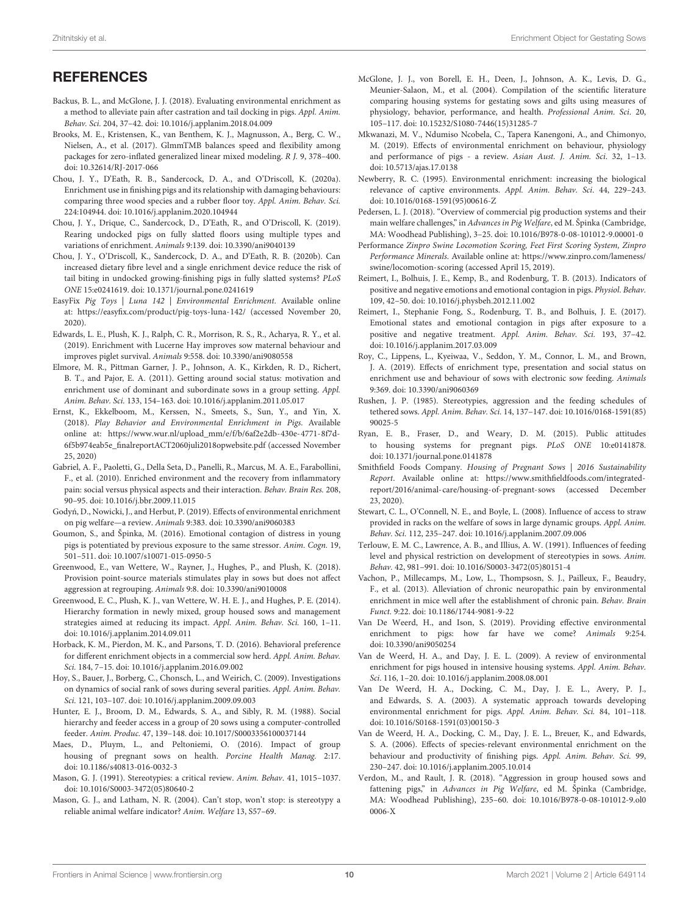# **REFERENCES**

- <span id="page-9-38"></span>Backus, B. L., and McGlone, J. J. (2018). Evaluating environmental enrichment as a method to alleviate pain after castration and tail docking in pigs. Appl. Anim. Behav. Sci. 204, 37–42. doi: [10.1016/j.applanim.2018.04.009](https://doi.org/10.1016/j.applanim.2018.04.009)
- <span id="page-9-18"></span>Brooks, M. E., Kristensen, K., van Benthem, K. J., Magnusson, A., Berg, C. W., Nielsen, A., et al. (2017). GlmmTMB balances speed and flexibility among packages for zero-inflated generalized linear mixed modeling. R J. 9, 378–400. doi: [10.32614/RJ-2017-066](https://doi.org/10.32614/RJ-2017-066)
- <span id="page-9-14"></span>Chou, J. Y., D'Eath, R. B., Sandercock, D. A., and O'Driscoll, K. (2020a). Enrichment use in finishing pigs and its relationship with damaging behaviours: comparing three wood species and a rubber floor toy. Appl. Anim. Behav. Sci. 224:104944. doi: [10.1016/j.applanim.2020.104944](https://doi.org/10.1016/j.applanim.2020.104944)
- <span id="page-9-20"></span>Chou, J. Y., Drique, C., Sandercock, D., D'Eath, R., and O'Driscoll, K. (2019). Rearing undocked pigs on fully slatted floors using multiple types and variations of enrichment. Animals 9:139. doi: [10.3390/ani9040139](https://doi.org/10.3390/ani9040139)
- <span id="page-9-21"></span>Chou, J. Y., O'Driscoll, K., Sandercock, D. A., and D'Eath, R. B. (2020b). Can increased dietary fibre level and a single enrichment device reduce the risk of tail biting in undocked growing-finishing pigs in fully slatted systems? PLoS ONE 15:e0241619. doi: [10.1371/journal.pone.0241619](https://doi.org/10.1371/journal.pone.0241619)
- <span id="page-9-13"></span>EasyFix Pig Toys | Luna 142 | Environmental Enrichment. Available online at:<https://easyfix.com/product/pig-toys-luna-142/> (accessed November 20, 2020).
- <span id="page-9-26"></span>Edwards, L. E., Plush, K. J., Ralph, C. R., Morrison, R. S., R., Acharya, R. Y., et al. (2019). Enrichment with Lucerne Hay improves sow maternal behaviour and improves piglet survival. Animals 9:558. doi: [10.3390/ani9080558](https://doi.org/10.3390/ani9080558)
- <span id="page-9-16"></span>Elmore, M. R., Pittman Garner, J. P., Johnson, A. K., Kirkden, R. D., Richert, B. T., and Pajor, E. A. (2011). Getting around social status: motivation and enrichment use of dominant and subordinate sows in a group setting. Appl. Anim. Behav. Sci. 133, 154–163. doi: [10.1016/j.applanim.2011.05.017](https://doi.org/10.1016/j.applanim.2011.05.017)
- <span id="page-9-19"></span>Ernst, K., Ekkelboom, M., Kerssen, N., Smeets, S., Sun, Y., and Yin, X. (2018). Play Behavior and Environmental Enrichment in Pigs. Available online at: [https://www.wur.nl/upload\\_mm/e/f/b/6af2e2db-430e-4771-8f7d-](https://www.wur.nl/upload_mm/e/f/b/6af2e2db-430e-4771-8f7d-6f5b974eab5e_finalreportACT2060juli2018opwebsite.pdf)[6f5b974eab5e\\_finalreportACT2060juli2018opwebsite.pdf](https://www.wur.nl/upload_mm/e/f/b/6af2e2db-430e-4771-8f7d-6f5b974eab5e_finalreportACT2060juli2018opwebsite.pdf) (accessed November 25, 2020)
- <span id="page-9-36"></span>Gabriel, A. F., Paoletti, G., Della Seta, D., Panelli, R., Marcus, M. A. E., Farabollini, F., et al. (2010). Enriched environment and the recovery from inflammatory pain: social versus physical aspects and their interaction. Behav. Brain Res. 208, 90–95. doi: [10.1016/j.bbr.2009.11.015](https://doi.org/10.1016/j.bbr.2009.11.015)
- <span id="page-9-31"></span>Godyń, D., Nowicki, J., and Herbut, P. (2019). Effects of environmental enrichment on pig welfare—a review. Animals 9:383. doi: [10.3390/ani9060383](https://doi.org/10.3390/ani9060383)
- <span id="page-9-27"></span>Goumon, S., and Špinka, M. (2016). Emotional contagion of distress in young pigs is potentiated by previous exposure to the same stressor. Anim. Cogn. 19, 501–511. doi: [10.1007/s10071-015-0950-5](https://doi.org/10.1007/s10071-015-0950-5)
- <span id="page-9-34"></span>Greenwood, E., van Wettere, W., Rayner, J., Hughes, P., and Plush, K. (2018). Provision point-source materials stimulates play in sows but does not affect aggression at regrouping. Animals 9:8. doi: [10.3390/ani9010008](https://doi.org/10.3390/ani9010008)
- <span id="page-9-5"></span>Greenwood, E. C., Plush, K. J., van Wettere, W. H. E. J., and Hughes, P. E. (2014). Hierarchy formation in newly mixed, group housed sows and management strategies aimed at reducing its impact. Appl. Anim. Behav. Sci. 160, 1–11. doi: [10.1016/j.applanim.2014.09.011](https://doi.org/10.1016/j.applanim.2014.09.011)
- <span id="page-9-12"></span>Horback, K. M., Pierdon, M. K., and Parsons, T. D. (2016). Behavioral preference for different enrichment objects in a commercial sow herd. Appl. Anim. Behav. Sci. 184, 7–15. doi: [10.1016/j.applanim.2016.09.002](https://doi.org/10.1016/j.applanim.2016.09.002)
- <span id="page-9-35"></span>Hoy, S., Bauer, J., Borberg, C., Chonsch, L., and Weirich, C. (2009). Investigations on dynamics of social rank of sows during several parities. Appl. Anim. Behav. Sci. 121, 103–107. doi: [10.1016/j.applanim.2009.09.003](https://doi.org/10.1016/j.applanim.2009.09.003)
- <span id="page-9-4"></span>Hunter, E. J., Broom, D. M., Edwards, S. A., and Sibly, R. M. (1988). Social hierarchy and feeder access in a group of 20 sows using a computer-controlled feeder. Anim. Produc. 47, 139–148. doi: [10.1017/S0003356100037144](https://doi.org/10.1017/S0003356100037144)
- <span id="page-9-30"></span>Maes, D., Pluym, L., and Peltoniemi, O. (2016). Impact of group housing of pregnant sows on health. Porcine Health Manag. 2:17. doi: [10.1186/s40813-016-0032-3](https://doi.org/10.1186/s40813-016-0032-3)
- <span id="page-9-23"></span>Mason, G. J. (1991). Stereotypies: a critical review. Anim. Behav. 41, 1015–1037. doi: [10.1016/S0003-3472\(05\)80640-2](https://doi.org/10.1016/S0003-3472(05)80640-2)
- <span id="page-9-24"></span>Mason, G. J., and Latham, N. R. (2004). Can't stop, won't stop: is stereotypy a reliable animal welfare indicator? Anim. Welfare 13, S57–69.
- <span id="page-9-0"></span>McGlone, J. J., von Borell, E. H., Deen, J., Johnson, A. K., Levis, D. G., Meunier-Salaon, M., et al. (2004). Compilation of the scientific literature comparing housing systems for gestating sows and gilts using measures of physiology, behavior, performance, and health. Professional Anim. Sci. 20, 105–117. doi: [10.15232/S1080-7446\(15\)31285-7](https://doi.org/10.15232/S1080-7446(15)31285-7)
- <span id="page-9-8"></span>Mkwanazi, M. V., Ndumiso Ncobela, C., Tapera Kanengoni, A., and Chimonyo, M. (2019). Effects of environmental enrichment on behaviour, physiology and performance of pigs - a review. Asian Aust. J. Anim. Sci. 32, 1–13. doi: [10.5713/ajas.17.0138](https://doi.org/10.5713/ajas.17.0138)
- <span id="page-9-7"></span>Newberry, R. C. (1995). Environmental enrichment: increasing the biological relevance of captive environments. Appl. Anim. Behav. Sci. 44, 229–243. doi: [10.1016/0168-1591\(95\)00616-Z](https://doi.org/10.1016/0168-1591(95)00616-Z)
- <span id="page-9-2"></span>Pedersen, L. J. (2018). "Overview of commercial pig production systems and their main welfare challenges," in Advances in Pig Welfare, ed M. Špinka (Cambridge, MA: Woodhead Publishing), 3–25. doi: [10.1016/B978-0-08-101012-9.00001-0](https://doi.org/10.1016/B978-0-08-101012-9.00001-0)
- Performance Zinpro Swine Locomotion Scoring, Feet First Scoring System, Zinpro Performance Minerals. Available online at: [https://www.zinpro.com/lameness/](https://www.zinpro.com/lameness/swine/locomotion-scoring) [swine/locomotion-scoring](https://www.zinpro.com/lameness/swine/locomotion-scoring) (accessed April 15, 2019).
- <span id="page-9-29"></span><span id="page-9-17"></span>Reimert, I., Bolhuis, J. E., Kemp, B., and Rodenburg, T. B. (2013). Indicators of positive and negative emotions and emotional contagion in pigs. Physiol. Behav. 109, 42–50. doi: [10.1016/j.physbeh.2012.11.002](https://doi.org/10.1016/j.physbeh.2012.11.002)
- <span id="page-9-28"></span>Reimert, I., Stephanie Fong, S., Rodenburg, T. B., and Bolhuis, J. E. (2017). Emotional states and emotional contagion in pigs after exposure to a positive and negative treatment. Appl. Anim. Behav. Sci. 193, 37–42. doi: [10.1016/j.applanim.2017.03.009](https://doi.org/10.1016/j.applanim.2017.03.009)
- <span id="page-9-33"></span>Roy, C., Lippens, L., Kyeiwaa, V., Seddon, Y. M., Connor, L. M., and Brown, J. A. (2019). Effects of enrichment type, presentation and social status on enrichment use and behaviour of sows with electronic sow feeding. Animals 9:369. doi: [10.3390/ani9060369](https://doi.org/10.3390/ani9060369)
- <span id="page-9-22"></span>Rushen, J. P. (1985). Stereotypies, aggression and the feeding schedules of tethered sows. Appl. Anim. Behav. Sci. [14, 137–147. doi: 10.1016/0168-1591\(85\)](https://doi.org/10.1016/0168-1591(85)90025-5) 90025-5
- <span id="page-9-1"></span>Ryan, E. B., Fraser, D., and Weary, D. M. (2015). Public attitudes to housing systems for pregnant pigs. PLoS ONE 10:e0141878. doi: [10.1371/journal.pone.0141878](https://doi.org/10.1371/journal.pone.0141878)
- <span id="page-9-3"></span>Smithfield Foods Company. Housing of Pregnant Sows | 2016 Sustainability Report. Available online at: [https://www.smithfieldfoods.com/integrated](https://www.smithfieldfoods.com/integrated-report/2016/animal-care/housing-of-pregnant-sows)[report/2016/animal-care/housing-of-pregnant-sows](https://www.smithfieldfoods.com/integrated-report/2016/animal-care/housing-of-pregnant-sows) (accessed December 23, 2020).
- <span id="page-9-10"></span>Stewart, C. L., O'Connell, N. E., and Boyle, L. (2008). Influence of access to straw provided in racks on the welfare of sows in large dynamic groups. Appl. Anim. Behav. Sci. 112, 235–247. doi: [10.1016/j.applanim.2007.09.006](https://doi.org/10.1016/j.applanim.2007.09.006)
- <span id="page-9-25"></span>Terlouw, E. M. C., Lawrence, A. B., and Illius, A. W. (1991). Influences of feeding level and physical restriction on development of stereotypies in sows. Anim. Behav. 42, 981–991. doi: [10.1016/S0003-3472\(05\)80151-4](https://doi.org/10.1016/S0003-3472(05)80151-4)
- <span id="page-9-37"></span>Vachon, P., Millecamps, M., Low, L., Thompsosn, S. J., Pailleux, F., Beaudry, F., et al. (2013). Alleviation of chronic neuropathic pain by environmental enrichment in mice well after the establishment of chronic pain. Behav. Brain Funct. 9:22. doi: [10.1186/1744-9081-9-22](https://doi.org/10.1186/1744-9081-9-22)
- <span id="page-9-9"></span>Van De Weerd, H., and Ison, S. (2019). Providing effective environmental enrichment to pigs: how far have we come? Animals 9:254. doi: [10.3390/ani9050254](https://doi.org/10.3390/ani9050254)
- <span id="page-9-11"></span>Van de Weerd, H. A., and Day, J. E. L. (2009). A review of environmental enrichment for pigs housed in intensive housing systems. Appl. Anim. Behav. Sci. 116, 1–20. doi: [10.1016/j.applanim.2008.08.001](https://doi.org/10.1016/j.applanim.2008.08.001)
- <span id="page-9-15"></span>Van De Weerd, H. A., Docking, C. M., Day, J. E. L., Avery, P. J., and Edwards, S. A. (2003). A systematic approach towards developing environmental enrichment for pigs. Appl. Anim. Behav. Sci. 84, 101–118. doi: [10.1016/S0168-1591\(03\)00150-3](https://doi.org/10.1016/S0168-1591(03)00150-3)
- <span id="page-9-32"></span>Van de Weerd, H. A., Docking, C. M., Day, J. E. L., Breuer, K., and Edwards, S. A. (2006). Effects of species-relevant environmental enrichment on the behaviour and productivity of finishing pigs. Appl. Anim. Behav. Sci. 99, 230–247. doi: [10.1016/j.applanim.2005.10.014](https://doi.org/10.1016/j.applanim.2005.10.014)
- <span id="page-9-6"></span>Verdon, M., and Rault, J. R. (2018). "Aggression in group housed sows and fattening pigs," in Advances in Pig Welfare, ed M. Špinka (Cambridge, [MA: Woodhead Publishing\), 235–60. doi: 10.1016/B978-0-08-101012-9.ol0](https://doi.org/10.1016/B978-0-08-101012-9.ol00006-X) 0006-X